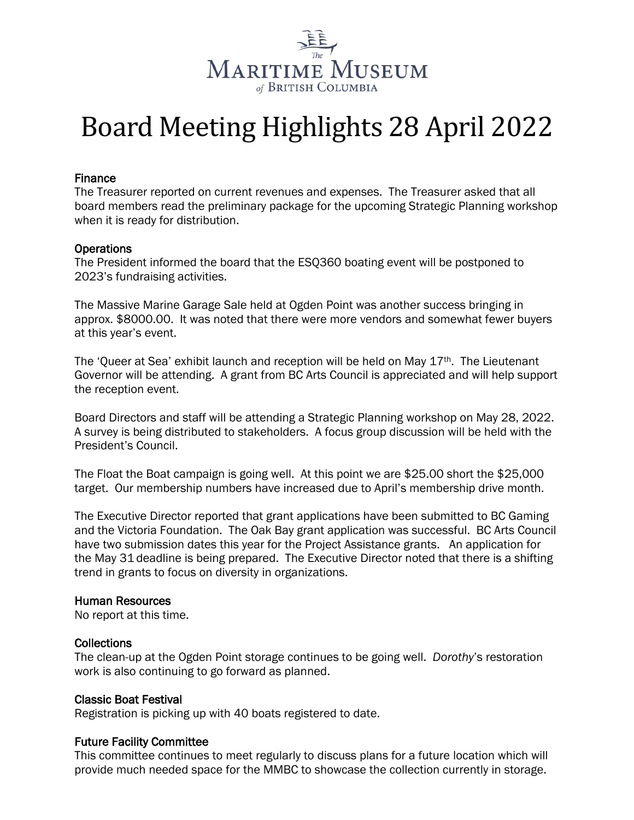

# Board Meeting Highlights 28 April 2022

#### Finance

The Treasurer reported on current revenues and expenses. The Treasurer asked that all board members read the preliminary package for the upcoming Strategic Planning workshop when it is ready for distribution.

#### **Operations**

The President informed the board that the ESQ360 boating event will be postponed to 2023's fundraising activities.

The Massive Marine Garage Sale held at Ogden Point was another success bringing in approx. \$8000.00. It was noted that there were more vendors and somewhat fewer buyers at this year's event.

The 'Queer at Sea' exhibit launch and reception will be held on May  $17<sup>th</sup>$ . The Lieutenant Governor will be attending. A grant from BC Arts Council is appreciated and will help support the reception event.

Board Directors and staff will be attending a Strategic Planning workshop on May 28, 2022. A survey is being distributed to stakeholders. A focus group discussion will be held with the President's Council.

The Float the Boat campaign is going well. At this point we are \$25.00 short the \$25,000 target. Our membership numbers have increased due to April's membership drive month.

The Executive Director reported that grant applications have been submitted to BC Gaming and the Victoria Foundation. The Oak Bay grant application was successful. BC Arts Council have two submission dates this year for the Project Assistance grants. An application for the May 31 deadline is being prepared. The Executive Director noted that there is a shifting trend in grants to focus on diversity in organizations.

#### Human Resources

No report at this time.

#### **Collections**

The clean-up at the Ogden Point storage continues to be going well. *Dorothy*'s restoration work is also continuing to go forward as planned.

#### Classic Boat Festival

Registration is picking up with 40 boats registered to date.

#### Future Facility Committee

This committee continues to meet regularly to discuss plans for a future location which will provide much needed space for the MMBC to showcase the collection currently in storage.